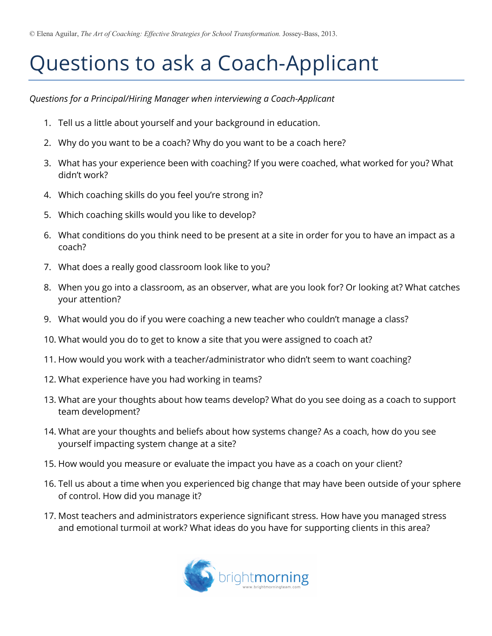## Questions to ask a Coach-Applicant

*Questions for a Principal/Hiring Manager when interviewing a Coach-Applicant*

- 1. Tell us a little about yourself and your background in education.
- 2. Why do you want to be a coach? Why do you want to be a coach here?
- 3. What has your experience been with coaching? If you were coached, what worked for you? What didn't work?
- 4. Which coaching skills do you feel you're strong in?
- 5. Which coaching skills would you like to develop?
- 6. What conditions do you think need to be present at a site in order for you to have an impact as a coach?
- 7. What does a really good classroom look like to you?
- 8. When you go into a classroom, as an observer, what are you look for? Or looking at? What catches your attention?
- 9. What would you do if you were coaching a new teacher who couldn't manage a class?
- 10. What would you do to get to know a site that you were assigned to coach at?
- 11. How would you work with a teacher/administrator who didn't seem to want coaching?
- 12. What experience have you had working in teams?
- 13. What are your thoughts about how teams develop? What do you see doing as a coach to support team development?
- 14. What are your thoughts and beliefs about how systems change? As a coach, how do you see yourself impacting system change at a site?
- 15. How would you measure or evaluate the impact you have as a coach on your client?
- 16. Tell us about a time when you experienced big change that may have been outside of your sphere of control. How did you manage it?
- 17. Most teachers and administrators experience significant stress. How have you managed stress and emotional turmoil at work? What ideas do you have for supporting clients in this area?